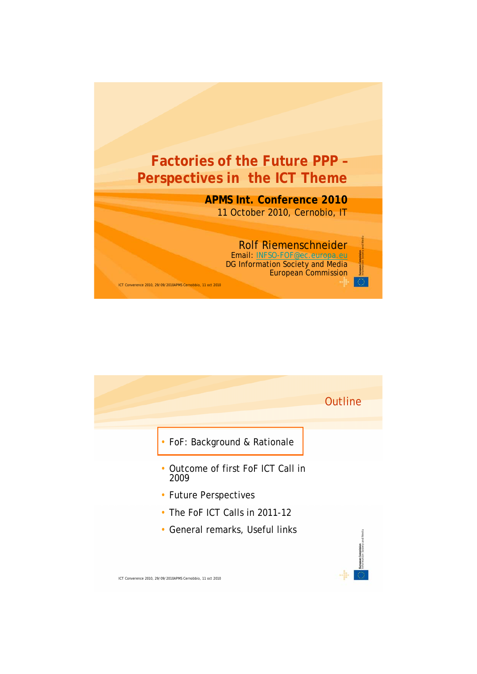

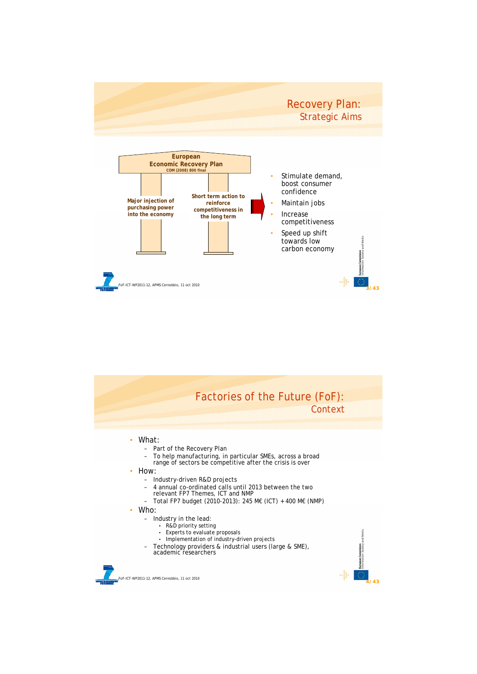

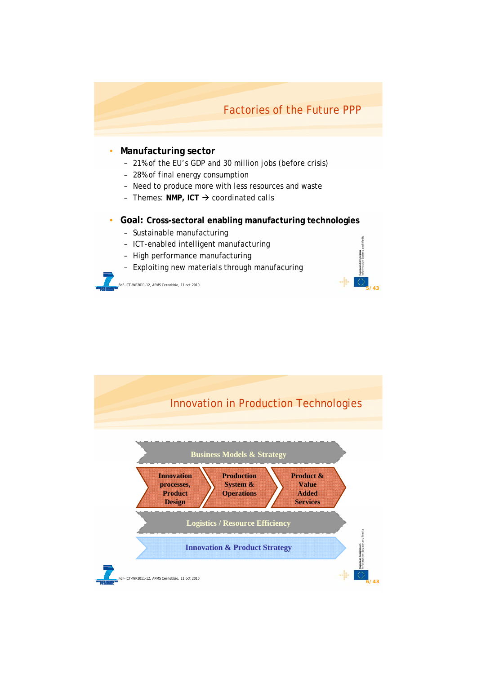## Factories of the Future PPP

**5/43**

### • **Manufacturing sector**

- 21% of the EU's GDP and 30 million jobs (before crisis)
- 28% of final energy consumption
- Need to produce more with less resources and waste
- Themes: NMP, ICT → *coordinated calls*
- **Goal: Cross-sectoral enabling manufacturing technologies**
	- Sustainable manufacturing
	- ICT-enabled intelligent manufacturing
	- High performance manufacturing
	- Exploiting new materials through manufacuring

FoF-ICT-WP2011-12, APMS Cernobbio, 11 oct 2010

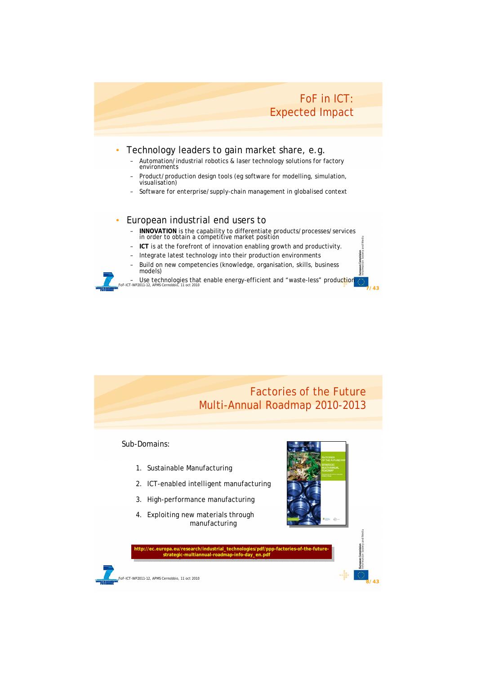## FoF in ICT: Expected Impact

**7/43**

**8/43**

### • Technology leaders to gain market share, e.g.

- Automation/industrial robotics & laser technology solutions for factory environments
- Product/production design tools (eg software for modelling, simulation, visualisation)
- Software for enterprise/supply-chain management in globalised context

### • European industrial end users to

- **INNOVATION** is the capability to differentiate products/processes/services in order to obtain a competitive market position
- **ICT** is at the forefront of innovation enabling growth and productivity.
- Integrate latest technology into their production environments
- Build on new competencies (knowledge, organisation, skills, business models)
- Use technologies that enable energy-efficient and "waste-less" produc<mark>t</mark>ion<br><sub>For-ICT-WP2011-12, APMS Cemobbio, 11 oct 2010</sub>

# Factories of the Future Multi-Annual Roadmap 2010-2013

### Sub-Domains:

- 1. Sustainable Manufacturing
- 2. ICT-enabled intelligent manufacturing
- 3. High-performance manufacturing
- 4. Exploiting new materials through manufacturing



**http://ec.europa.eu/research/industrial\_technologies/pdf/ppp-factories-of-the-futurestrategic-multiannual-roadmap-info-day\_en.pdf http://ec.europa.eu/research/industrial\_technologies/pdf/ppp-factories-of-the-futurestrategic-multiannual-roadmap-info-day\_en.pdf**

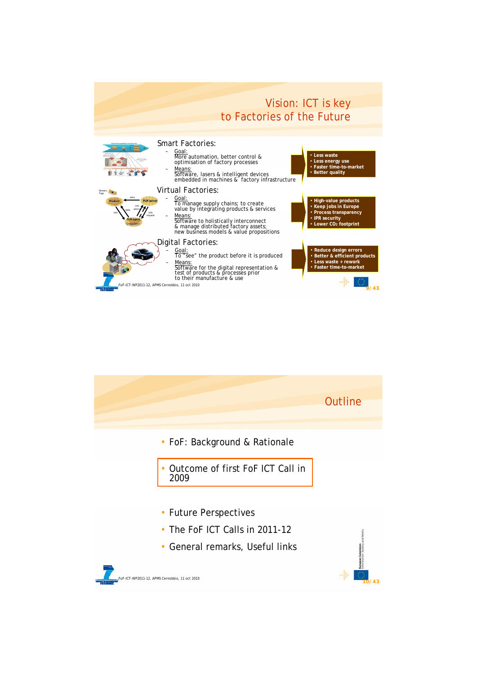

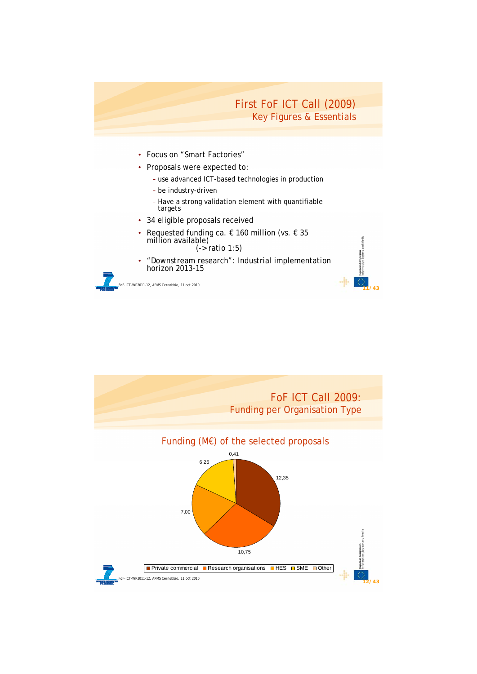

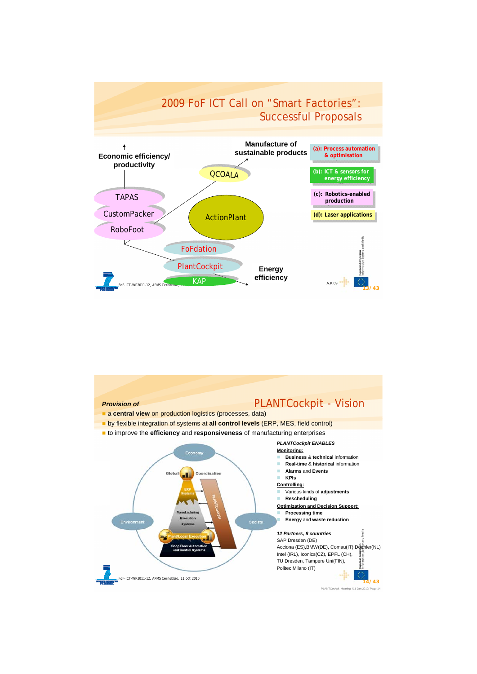

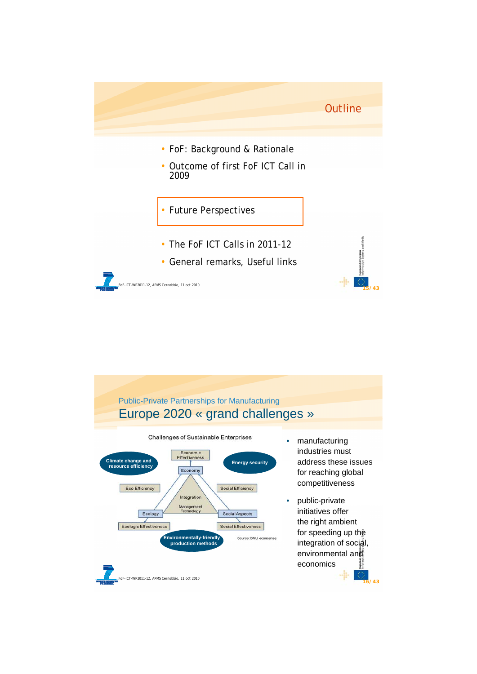

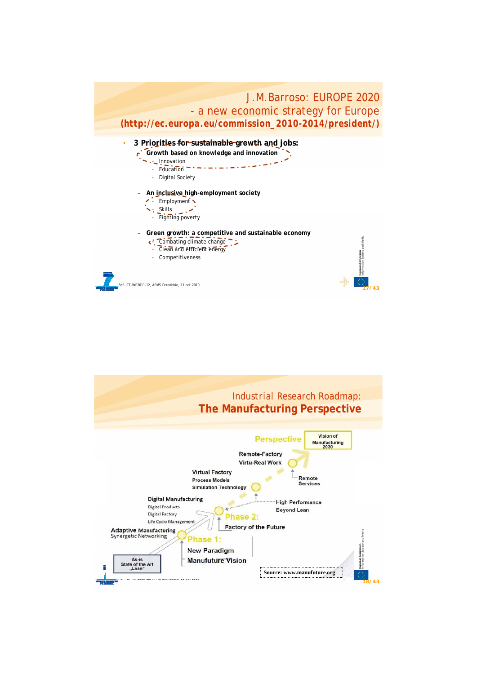

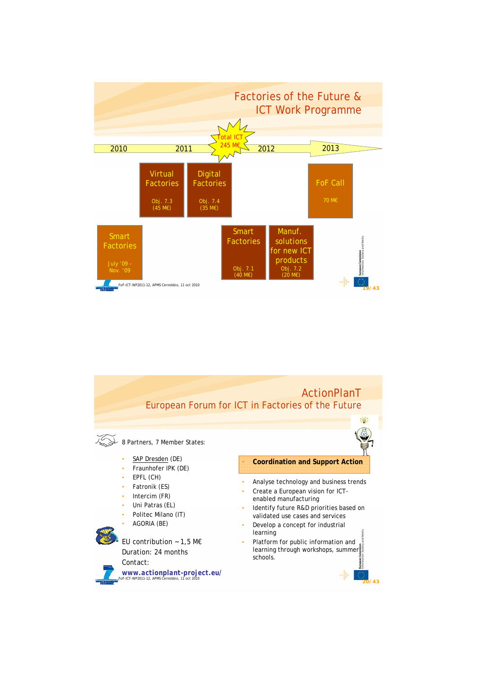

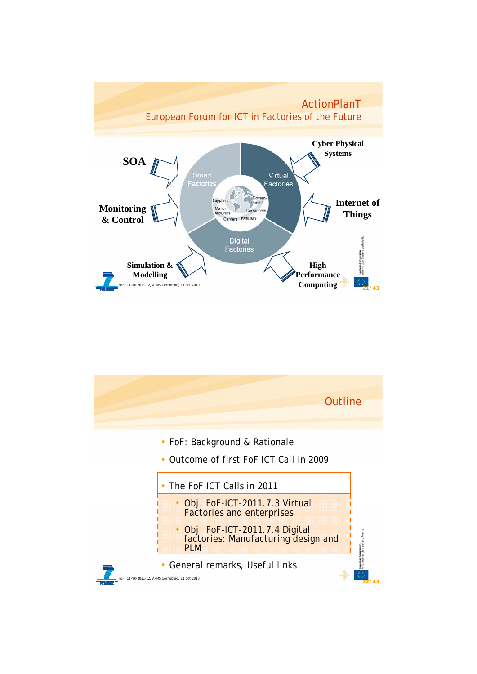

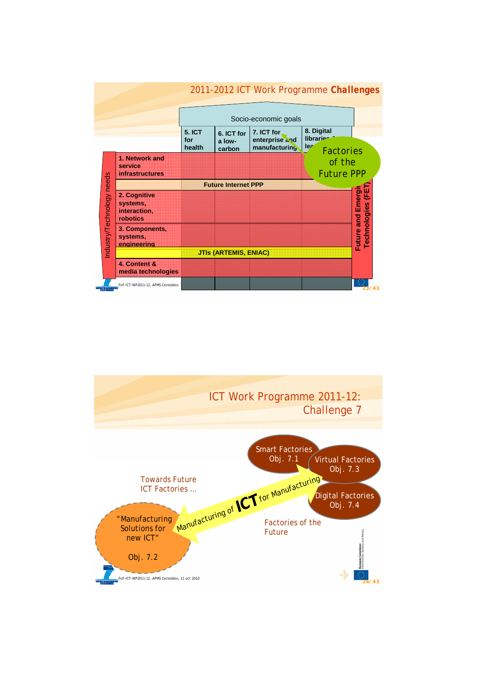

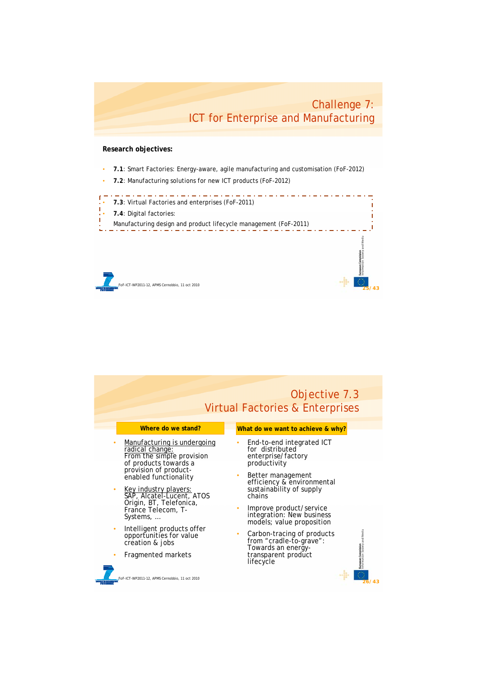## Challenge 7: ICT for Enterprise and Manufacturing

**25/43**

#### **Research objectives:**

- **7.1**: Smart Factories: Energy-aware, agile manufacturing and customisation *(FoF-2012)*
- **7.2**: Manufacturing solutions for new ICT products (*FoF-2012*)

• **7.3**: Virtual Factories and enterprises (*FoF-2011*)

- **7.4**: Digital factories:
- T Manufacturing design and product lifecycle management *(FoF-2011)*

FoF-ICT-WP2011-12, APMS Cernobbio, 11 oct 2010

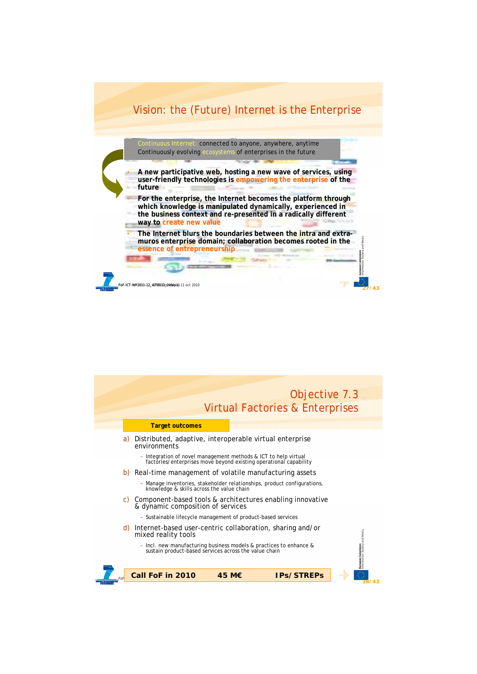

connected to anyone, anywhere, anytime Continuously evolving ecosystems of enterprises in the future

- **A new participative web, hosting a new wave of services, using user-friendly technologies is empowering the enterprise of the future**
- **For the enterprise, the Internet becomes the platform through which knowledge is manipulated dynamically, experienced in the business context and** *re***-presented in a radically different way to create new value**

• **The Internet blurs the boundaries between the intra and extramuros enterprise domain; collaboration becomes rooted in the essence of entrepreneurship**

**27/43**

FoF-ICT-WP2011-12\_IGPI20810er29Sebpit0, 11 oct 2010

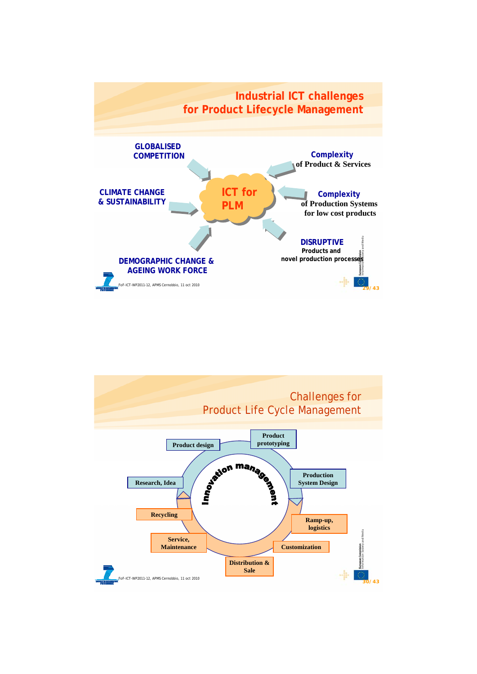

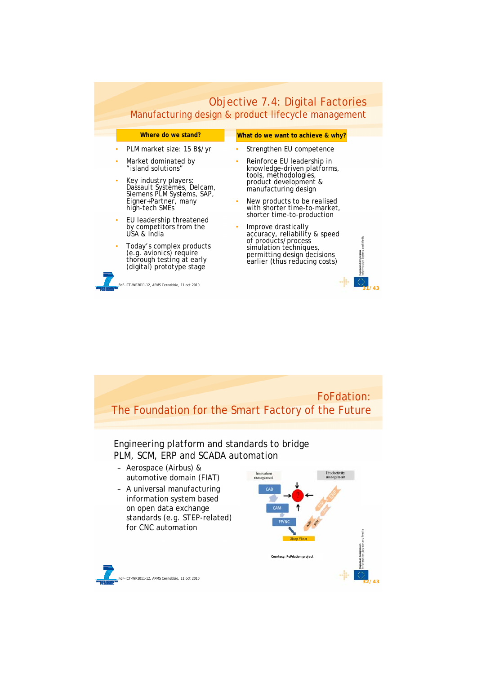|                                                                                                               | Objective 7.4: Digital Factories                                                                              |
|---------------------------------------------------------------------------------------------------------------|---------------------------------------------------------------------------------------------------------------|
|                                                                                                               | Manufacturing design & product lifecycle management                                                           |
| Where do we stand?                                                                                            | What do we want to achieve & why?                                                                             |
| PLM market size: 15 B\$/yr                                                                                    | Strengthen EU competence                                                                                      |
| Market dominated by<br>$\bullet$<br>"island solutions"                                                        | Reinforce EU leadership in<br>٠<br>knowledge-driven platforms,<br>tools, methodologies,                       |
| Key industry players:<br>٠<br>Dassault Systèmes, Delcam,<br>Siemens PLM Systems, SAP,                         | product development &<br>manufacturing design                                                                 |
| Eigner+Partner, many<br>high-tech SMEs                                                                        | New products to be realised<br>with shorter time-to-market,<br>shorter time-to-production                     |
| EU leadership threatened<br>٠<br>by competitors from the<br>USA & India                                       | Improve drastically<br>accuracy, reliability & speed                                                          |
| Today's complex products<br>(e.g. avionics) require<br>thorough testing at early<br>(digital) prototype stage | of products/process<br>simulation techniques,<br>permitting design decisions<br>earlier (thus reducing costs) |
| oF-ICT-WP2011-12, APMS Cernobbio, 11 oct 2010                                                                 |                                                                                                               |

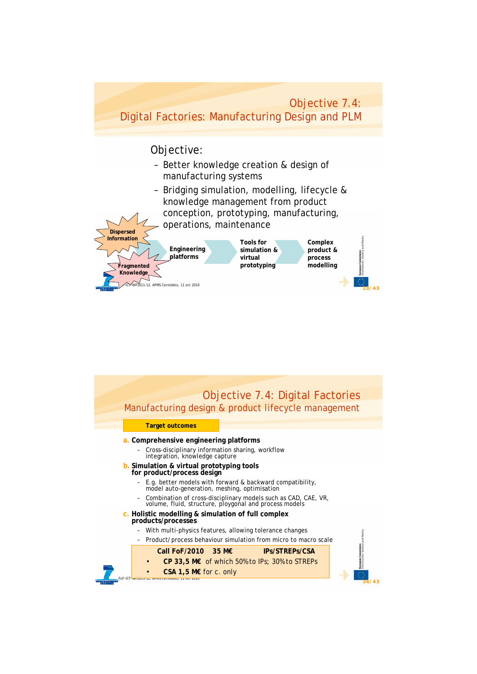

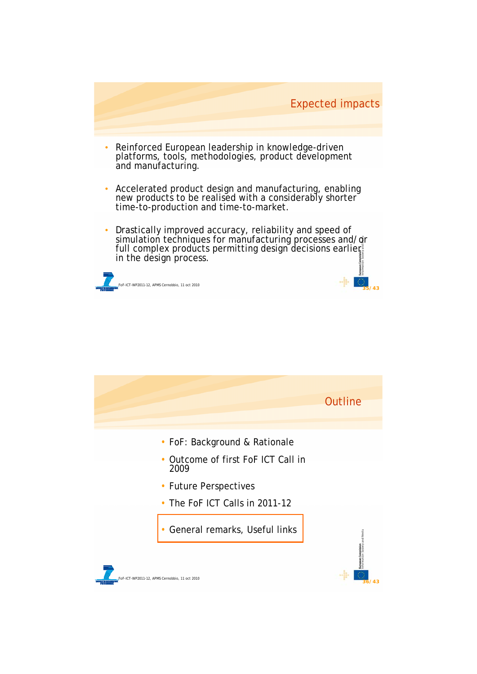

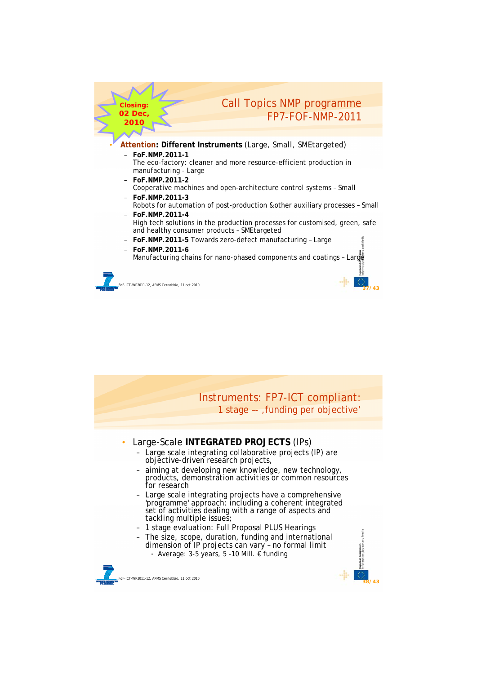

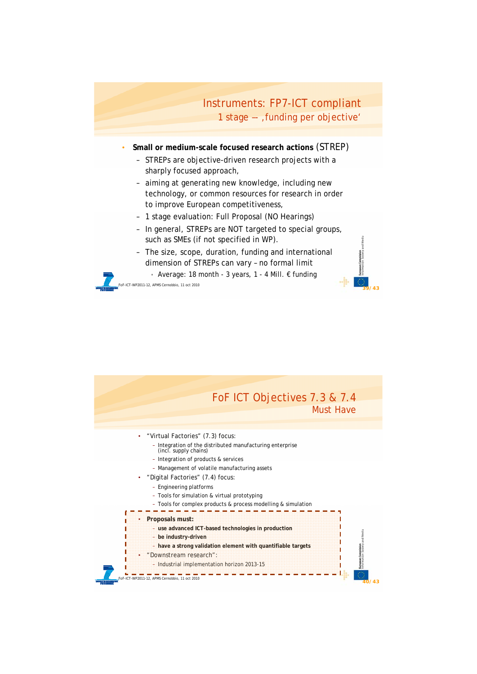## Instruments: FP7-ICT compliant 1 stage -- , funding per objective'

**39/43**

- **Small or medium-scale focused research actions** (STREP)
	- STREPs are objective-driven research projects with a sharply focused approach,
	- aiming at generating new knowledge, including new technology, or common resources for research in order to improve European competitiveness,
	- 1 stage evaluation: Full Proposal (NO Hearings)
	- In general, STREPs are NOT targeted to special groups, such as SMEs (if not specified in WP).
	- The size, scope, duration, funding and international dimension of STREPs can vary – no formal limit
		- Average: 18 month 3 years, 1 4 Mill. € funding

FoF-ICT-WP2011-12, APMS Cernobbio, 11 oct 2010

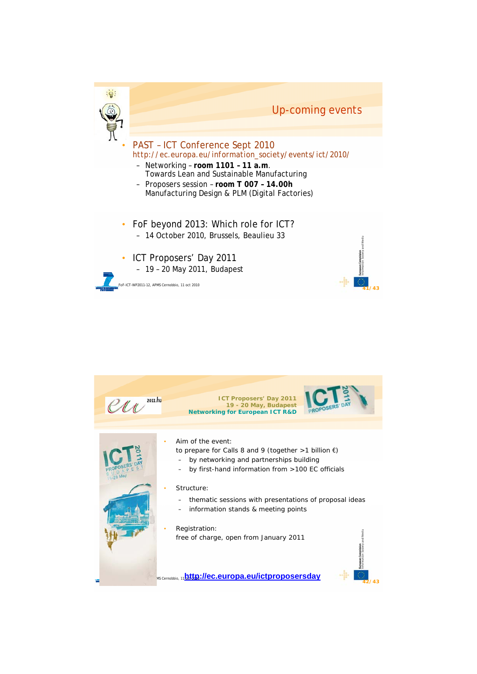